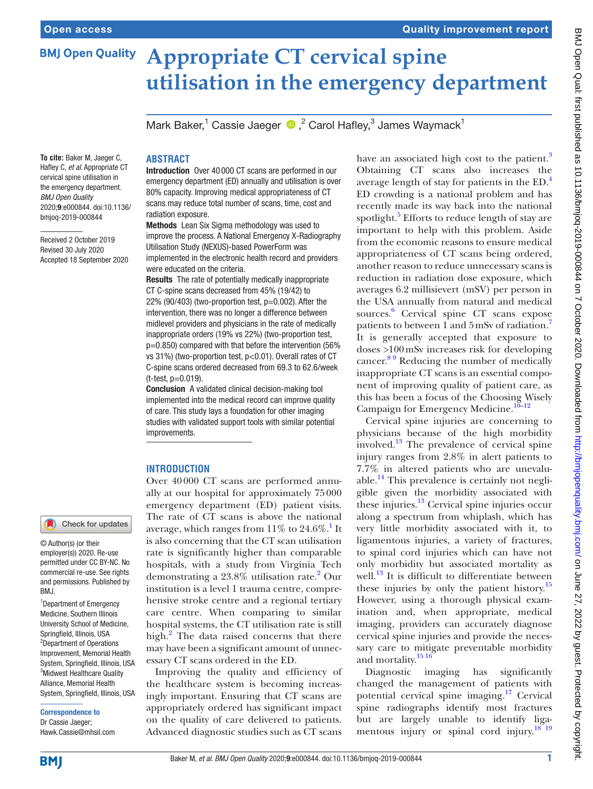# **Appropriate CT cervical spine BMJ Open Quality utilisation in the emergency department**

MarkBaker,<sup>1</sup> Cassie Jaeger  $\bullet$ ,<sup>2</sup> Carol Hafley,<sup>3</sup> James Waymack<sup>1</sup>

#### **To cite:** Baker M, Jaeger C, Hafley C, *et al*. Appropriate CT cervical spine utilisation in the emergency department. *BMJ Open Quality* 2020;9:e000844. doi:10.1136/ bmjoq-2019-000844

Received 2 October 2019 Revised 30 July 2020 Accepted 18 September 2020

### Check for updates

© Author(s) (or their employer(s)) 2020. Re-use permitted under CC BY-NC. No commercial re-use. See rights and permissions. Published by RM<sub>J</sub>

<sup>1</sup> Department of Emergency Medicine, Southern Illinois University School of Medicine, Springfield, Illinois, USA 2 Department of Operations Improvement, Memorial Health System, Springfield, Illinois, USA 3 Midwest Healthcare Quality Alliance, Memorial Health System, Springfield, Illinois, USA

Correspondence to Dr Cassie Jaeger; Hawk.Cassie@mhsil.com

## **ABSTRACT**

Introduction Over 40 000 CT scans are performed in our emergency department (ED) annually and utilisation is over 80% capacity. Improving medical appropriateness of CT scans may reduce total number of scans, time, cost and radiation exposure.

Methods Lean Six Sigma methodology was used to improve the process. A National Emergency X-Radiography Utilisation Study (NEXUS)-based PowerForm was implemented in the electronic health record and providers were educated on the criteria.

Results The rate of potentially medically inappropriate CT C-spine scans decreased from 45% (19/42) to 22% (90/403) (two-proportion test,  $p=0.002$ ). After the intervention, there was no longer a difference between midlevel providers and physicians in the rate of medically inappropriate orders (19% vs 22%) (two-proportion test, p=0.850) compared with that before the intervention (56% vs 31%) (two-proportion test, p<0.01). Overall rates of CT C-spine scans ordered decreased from 69.3 to 62.6/week  $(t-test, p=0.019)$ .

Conclusion A validated clinical decision-making tool implemented into the medical record can improve quality of care. This study lays a foundation for other imaging studies with validated support tools with similar potential improvements.

#### **INTRODUCTION**

Over 40000 CT scans are performed annually at our hospital for approximately 75000 emergency department (ED) patient visits. The rate of CT scans is above the national average, which ranges from  $11\%$  $11\%$  to  $24.6\%$ . It is also concerning that the CT scan utilisation rate is significantly higher than comparable hospitals, with a study from Virginia Tech demonstrating a [2](#page-5-1)3.8% utilisation rate.<sup>2</sup> Our institution is a level 1 trauma centre, comprehensive stroke centre and a regional tertiary care centre. When comparing to similar hospital systems, the CT utilisation rate is still high.<sup>[2](#page-5-1)</sup> The data raised concerns that there may have been a significant amount of unnecessary CT scans ordered in the ED.

Improving the quality and efficiency of the healthcare system is becoming increasingly important. Ensuring that CT scans are appropriately ordered has significant impact on the quality of care delivered to patients. Advanced diagnostic studies such as CT scans

have an associated high cost to the patient.<sup>3</sup> Obtaining CT scans also increases the average length of stay for patients in the ED[.4](#page-5-3) ED crowding is a national problem and has recently made its way back into the national spotlight.<sup>[5](#page-5-4)</sup> Efforts to reduce length of stay are important to help with this problem. Aside from the economic reasons to ensure medical appropriateness of CT scans being ordered, another reason to reduce unnecessary scans is reduction in radiation dose exposure, which averages 6.2 millisievert (mSV) per person in the USA annually from natural and medical sources. [6](#page-5-5) Cervical spine CT scans expose patients to between 1 and 5mSv of radiation.[7](#page-5-6) It is generally accepted that exposure to doses >100mSv increases risk for developing cancer.<sup>89</sup> Reducing the number of medically inappropriate CT scans is an essential component of improving quality of patient care, as this has been a focus of the Choosing Wisely Campaign for Emergency Medicine. $10-12$ 

Cervical spine injuries are concerning to physicians because of the high morbidity involved[.13](#page-5-9) The prevalence of cervical spine injury ranges from 2.8% in alert patients to 7.7% in altered patients who are unevaluable.<sup>14</sup> This prevalence is certainly not negligible given the morbidity associated with these injuries.<sup>[13](#page-5-9)</sup> Cervical spine injuries occur along a spectrum from whiplash, which has very little morbidity associated with it, to ligamentous injuries, a variety of fractures, to spinal cord injuries which can have not only morbidity but associated mortality as well.<sup>13</sup> It is difficult to differentiate between these injuries by only the patient history.<sup>[15](#page-5-11)</sup> However, using a thorough physical examination and, when appropriate, medical imaging, providers can accurately diagnose cervical spine injuries and provide the necessary care to mitigate preventable morbidity and mortality.<sup>[15 16](#page-5-11)</sup>

Diagnostic imaging has significantly changed the management of patients with potential cervical spine imaging[.17](#page-5-12) Cervical spine radiographs identify most fractures but are largely unable to identify ligamentous injury or spinal cord injury.[18 19](#page-5-13)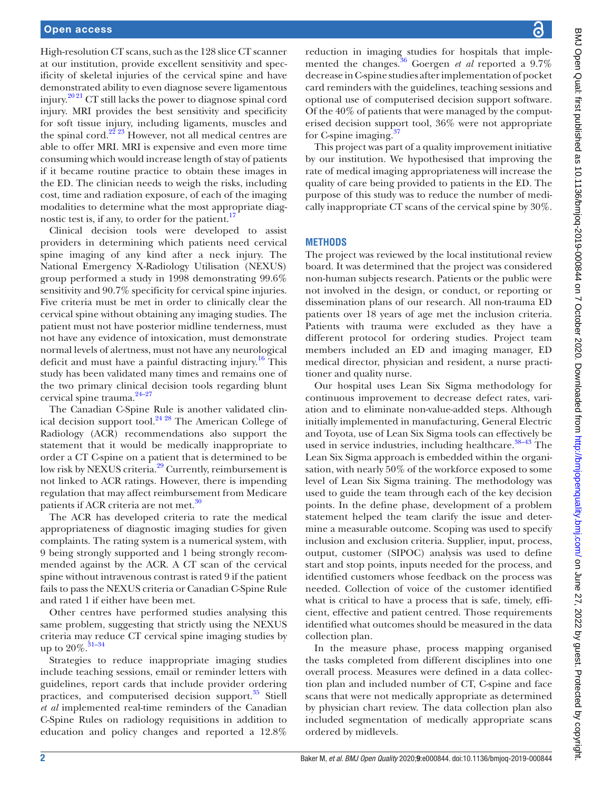High-resolution CT scans, such as the 128 slice CT scanner at our institution, provide excellent sensitivity and specificity of skeletal injuries of the cervical spine and have demonstrated ability to even diagnose severe ligamentous injury[.20 21](#page-5-14) CT still lacks the power to diagnose spinal cord injury. MRI provides the best sensitivity and specificity for soft tissue injury, including ligaments, muscles and the spinal cord. $2^{2}$   $^{23}$  However, not all medical centres are able to offer MRI. MRI is expensive and even more time consuming which would increase length of stay of patients if it became routine practice to obtain these images in the ED. The clinician needs to weigh the risks, including cost, time and radiation exposure, of each of the imaging modalities to determine what the most appropriate diagnostic test is, if any, to order for the patient. $17$ 

Clinical decision tools were developed to assist providers in determining which patients need cervical spine imaging of any kind after a neck injury. The National Emergency X-Radiology Utilisation (NEXUS) group performed a study in 1998 demonstrating 99.6% sensitivity and 90.7% specificity for cervical spine injuries. Five criteria must be met in order to clinically clear the cervical spine without obtaining any imaging studies. The patient must not have posterior midline tenderness, must not have any evidence of intoxication, must demonstrate normal levels of alertness, must not have any neurological deficit and must have a painful distracting injury.<sup>16</sup> This study has been validated many times and remains one of the two primary clinical decision tools regarding blunt cervical spine trauma.[24–27](#page-5-17)

The Canadian C-Spine Rule is another validated clinical decision support tool. $^{24,28}$  The American College of Radiology (ACR) recommendations also support the statement that it would be medically inappropriate to order a CT C-spine on a patient that is determined to be low risk by NEXUS criteria.<sup>[29](#page-5-18)</sup> Currently, reimbursement is not linked to ACR ratings. However, there is impending regulation that may affect reimbursement from Medicare patients if ACR criteria are not met.<sup>[30](#page-5-19)</sup>

The ACR has developed criteria to rate the medical appropriateness of diagnostic imaging studies for given complaints. The rating system is a numerical system, with 9 being strongly supported and 1 being strongly recommended against by the ACR. A CT scan of the cervical spine without intravenous contrast is rated 9 if the patient fails to pass the NEXUS criteria or Canadian C-Spine Rule and rated 1 if either have been met.

Other centres have performed studies analysing this same problem, suggesting that strictly using the NEXUS criteria may reduce CT cervical spine imaging studies by up to  $20\%$ .  $31-34$ 

Strategies to reduce inappropriate imaging studies include teaching sessions, email or reminder letters with guidelines, report cards that include provider ordering practices, and computerised decision support.<sup>35</sup> Stiell *et al* implemented real-time reminders of the Canadian C-Spine Rules on radiology requisitions in addition to education and policy changes and reported a 12.8%

reduction in imaging studies for hospitals that implemented the changes[.36](#page-6-1) Goergen *et al* reported a 9.7% decrease in C-spine studies after implementation of pocket card reminders with the guidelines, teaching sessions and optional use of computerised decision support software. Of the 40% of patients that were managed by the computerised decision support tool, 36% were not appropriate for C-spine imaging. $\frac{3}{5}$ 

This project was part of a quality improvement initiative by our institution. We hypothesised that improving the rate of medical imaging appropriateness will increase the quality of care being provided to patients in the ED. The purpose of this study was to reduce the number of medically inappropriate CT scans of the cervical spine by 30%.

#### **METHODS**

The project was reviewed by the local institutional review board. It was determined that the project was considered non-human subjects research. Patients or the public were not involved in the design, or conduct, or reporting or dissemination plans of our research. All non-trauma ED patients over 18 years of age met the inclusion criteria. Patients with trauma were excluded as they have a different protocol for ordering studies. Project team members included an ED and imaging manager, ED medical director, physician and resident, a nurse practitioner and quality nurse.

Our hospital uses Lean Six Sigma methodology for continuous improvement to decrease defect rates, variation and to eliminate non-value-added steps. Although initially implemented in manufacturing, General Electric and Toyota, use of Lean Six Sigma tools can effectively be used in service industries, including healthcare.<sup>38-43</sup> The Lean Six Sigma approach is embedded within the organisation, with nearly 50% of the workforce exposed to some level of Lean Six Sigma training. The methodology was used to guide the team through each of the key decision points. In the define phase, development of a problem statement helped the team clarify the issue and determine a measurable outcome. Scoping was used to specify inclusion and exclusion criteria. Supplier, input, process, output, customer (SIPOC) analysis was used to define start and stop points, inputs needed for the process, and identified customers whose feedback on the process was needed. Collection of voice of the customer identified what is critical to have a process that is safe, timely, efficient, effective and patient centred. Those requirements identified what outcomes should be measured in the data collection plan.

In the measure phase, process mapping organised the tasks completed from different disciplines into one overall process. Measures were defined in a data collection plan and included number of CT, C-spine and face scans that were not medically appropriate as determined by physician chart review. The data collection plan also included segmentation of medically appropriate scans ordered by midlevels.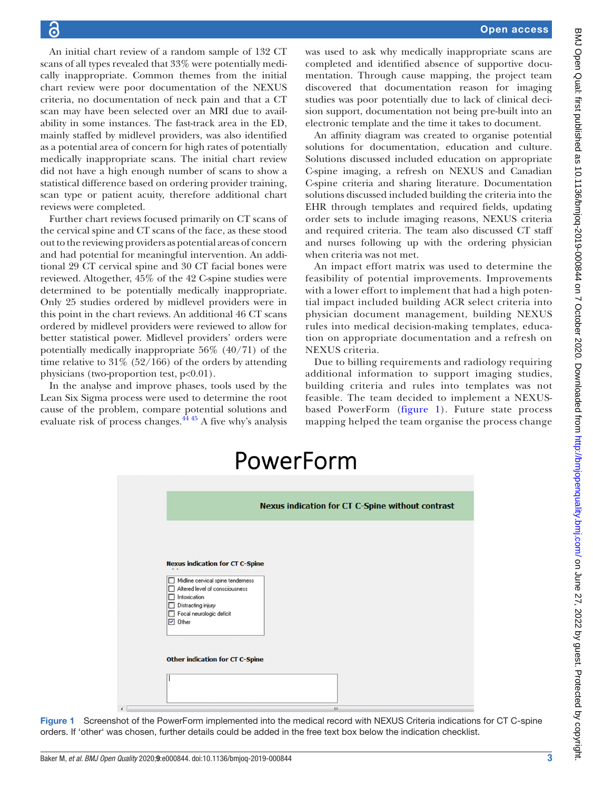An initial chart review of a random sample of 132 CT scans of all types revealed that 33% were potentially medically inappropriate. Common themes from the initial chart review were poor documentation of the NEXUS criteria, no documentation of neck pain and that a CT scan may have been selected over an MRI due to availability in some instances. The fast-track area in the ED, mainly staffed by midlevel providers, was also identified as a potential area of concern for high rates of potentially medically inappropriate scans. The initial chart review did not have a high enough number of scans to show a statistical difference based on ordering provider training, scan type or patient acuity, therefore additional chart reviews were completed.

Further chart reviews focused primarily on CT scans of the cervical spine and CT scans of the face, as these stood out to the reviewing providers as potential areas of concern and had potential for meaningful intervention. An additional 29 CT cervical spine and 30 CT facial bones were reviewed. Altogether, 45% of the 42 C-spine studies were determined to be potentially medically inappropriate. Only 25 studies ordered by midlevel providers were in this point in the chart reviews. An additional 46 CT scans ordered by midlevel providers were reviewed to allow for better statistical power. Midlevel providers' orders were potentially medically inappropriate 56% (40/71) of the time relative to  $31\%$  (52/166) of the orders by attending physicians (two-proportion test, p<0.01).

In the analyse and improve phases, tools used by the Lean Six Sigma process were used to determine the root cause of the problem, compare potential solutions and evaluate risk of process changes. $4445$  A five why's analysis was used to ask why medically inappropriate scans are completed and identified absence of supportive documentation. Through cause mapping, the project team discovered that documentation reason for imaging studies was poor potentially due to lack of clinical decision support, documentation not being pre-built into an electronic template and the time it takes to document.

An affinity diagram was created to organise potential solutions for documentation, education and culture. Solutions discussed included education on appropriate C-spine imaging, a refresh on NEXUS and Canadian C-spine criteria and sharing literature. Documentation solutions discussed included building the criteria into the EHR through templates and required fields, updating order sets to include imaging reasons, NEXUS criteria and required criteria. The team also discussed CT staff and nurses following up with the ordering physician when criteria was not met.

An impact effort matrix was used to determine the feasibility of potential improvements. Improvements with a lower effort to implement that had a high potential impact included building ACR select criteria into physician document management, building NEXUS rules into medical decision-making templates, education on appropriate documentation and a refresh on NEXUS criteria.

Due to billing requirements and radiology requiring additional information to support imaging studies, building criteria and rules into templates was not feasible. The team decided to implement a NEXUSbased PowerForm ([figure](#page-2-0) 1). Future state process mapping helped the team organise the process change

<span id="page-2-0"></span>

Figure 1 Screenshot of the PowerForm implemented into the medical record with NEXUS Criteria indications for CT C-spine orders. If 'other' was chosen, further details could be added in the free text box below the indication checklist.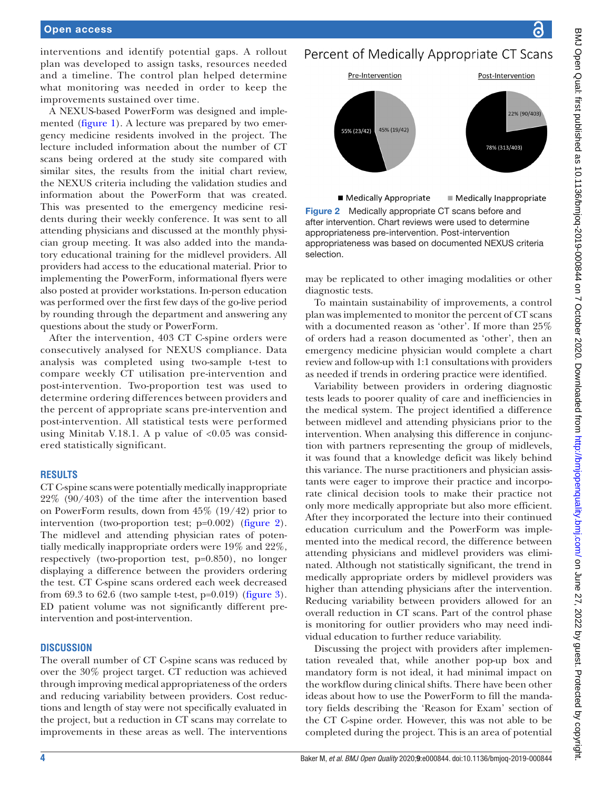#### Open access

interventions and identify potential gaps. A rollout plan was developed to assign tasks, resources needed and a timeline. The control plan helped determine what monitoring was needed in order to keep the improvements sustained over time.

A NEXUS-based PowerForm was designed and implemented ([figure](#page-2-0) 1). A lecture was prepared by two emergency medicine residents involved in the project. The lecture included information about the number of CT scans being ordered at the study site compared with similar sites, the results from the initial chart review, the NEXUS criteria including the validation studies and information about the PowerForm that was created. This was presented to the emergency medicine residents during their weekly conference. It was sent to all attending physicians and discussed at the monthly physician group meeting. It was also added into the mandatory educational training for the midlevel providers. All providers had access to the educational material. Prior to implementing the PowerForm, informational flyers were also posted at provider workstations. In-person education was performed over the first few days of the go-live period by rounding through the department and answering any questions about the study or PowerForm.

After the intervention, 403 CT C-spine orders were consecutively analysed for NEXUS compliance. Data analysis was completed using two-sample t-test to compare weekly CT utilisation pre-intervention and post-intervention. Two-proportion test was used to determine ordering differences between providers and the percent of appropriate scans pre-intervention and post-intervention. All statistical tests were performed using Minitab V.18.1. A p value of  $< 0.05$  was considered statistically significant.

#### **RESULTS**

CT C-spine scans were potentially medically inappropriate 22% (90/403) of the time after the intervention based on PowerForm results, down from 45% (19/42) prior to intervention (two-proportion test; p=0.002) [\(figure](#page-3-0) 2). The midlevel and attending physician rates of potentially medically inappropriate orders were 19% and 22%, respectively (two-proportion test, p=0.850), no longer displaying a difference between the providers ordering the test. CT C-spine scans ordered each week decreased from  $69.3$  to  $62.6$  (two sample t-test,  $p=0.019$ ) [\(figure](#page-4-0) 3). ED patient volume was not significantly different preintervention and post-intervention.

#### **DISCUSSION**

The overall number of CT C-spine scans was reduced by over the 30% project target. CT reduction was achieved through improving medical appropriateness of the orders and reducing variability between providers. Cost reductions and length of stay were not specifically evaluated in the project, but a reduction in CT scans may correlate to improvements in these areas as well. The interventions

## Percent of Medically Appropriate CT Scans



<span id="page-3-0"></span>Medically Appropriate Medically Inappropriate Figure 2 Medically appropriate CT scans before and after intervention. Chart reviews were used to determine appropriateness pre-intervention. Post-intervention appropriateness was based on documented NEXUS criteria selection.

may be replicated to other imaging modalities or other diagnostic tests.

To maintain sustainability of improvements, a control plan was implemented to monitor the percent of CT scans with a documented reason as 'other'. If more than 25% of orders had a reason documented as 'other', then an emergency medicine physician would complete a chart review and follow-up with 1:1 consultations with providers as needed if trends in ordering practice were identified.

Variability between providers in ordering diagnostic tests leads to poorer quality of care and inefficiencies in the medical system. The project identified a difference between midlevel and attending physicians prior to the intervention. When analysing this difference in conjunction with partners representing the group of midlevels, it was found that a knowledge deficit was likely behind this variance. The nurse practitioners and physician assistants were eager to improve their practice and incorporate clinical decision tools to make their practice not only more medically appropriate but also more efficient. After they incorporated the lecture into their continued education curriculum and the PowerForm was implemented into the medical record, the difference between attending physicians and midlevel providers was eliminated. Although not statistically significant, the trend in medically appropriate orders by midlevel providers was higher than attending physicians after the intervention. Reducing variability between providers allowed for an overall reduction in CT scans. Part of the control phase is monitoring for outlier providers who may need individual education to further reduce variability.

Discussing the project with providers after implementation revealed that, while another pop-up box and mandatory form is not ideal, it had minimal impact on the workflow during clinical shifts. There have been other ideas about how to use the PowerForm to fill the mandatory fields describing the 'Reason for Exam' section of the CT C-spine order. However, this was not able to be completed during the project. This is an area of potential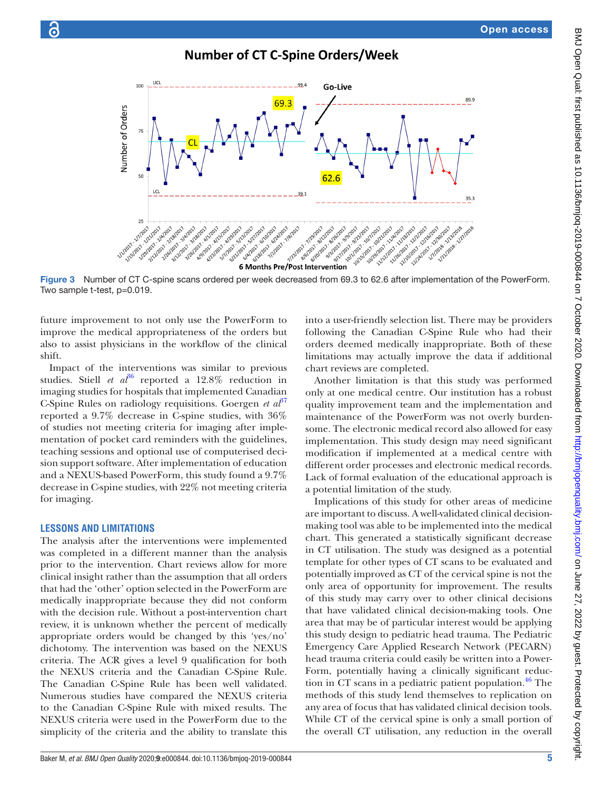## **Number of CT C-Spine Orders/Week**



Figure 3 Number of CT C-spine scans ordered per week decreased from 69.3 to 62.6 after implementation of the PowerForm. Two sample t-test, p=0.019.

future improvement to not only use the PowerForm to improve the medical appropriateness of the orders but also to assist physicians in the workflow of the clinical shift.

Impact of the interventions was similar to previous studies. Stiell *et al*<sup>36</sup> reported a 12.8% reduction in imaging studies for hospitals that implemented Canadian C-Spine Rules on radiology requisitions. Goergen *et al*<sup>87</sup> reported a 9.7% decrease in C-spine studies, with 36% of studies not meeting criteria for imaging after implementation of pocket card reminders with the guidelines, teaching sessions and optional use of computerised decision support software. After implementation of education and a NEXUS-based PowerForm, this study found a 9.7% decrease in C-spine studies, with 22% not meeting criteria for imaging.

#### **LESSONS AND LIMITATIONS**

The analysis after the interventions were implemented was completed in a different manner than the analysis prior to the intervention. Chart reviews allow for more clinical insight rather than the assumption that all orders that had the 'other' option selected in the PowerForm are medically inappropriate because they did not conform with the decision rule. Without a post-intervention chart review, it is unknown whether the percent of medically appropriate orders would be changed by this 'yes/no' dichotomy. The intervention was based on the NEXUS criteria. The ACR gives a level 9 qualification for both the NEXUS criteria and the Canadian C-Spine Rule. The Canadian C-Spine Rule has been well validated. Numerous studies have compared the NEXUS criteria to the Canadian C-Spine Rule with mixed results. The NEXUS criteria were used in the PowerForm due to the simplicity of the criteria and the ability to translate this

<span id="page-4-0"></span>into a user-friendly selection list. There may be providers following the Canadian C-Spine Rule who had their orders deemed medically inappropriate. Both of these limitations may actually improve the data if additional chart reviews are completed.

Another limitation is that this study was performed only at one medical centre. Our institution has a robust quality improvement team and the implementation and maintenance of the PowerForm was not overly burdensome. The electronic medical record also allowed for easy implementation. This study design may need significant modification if implemented at a medical centre with different order processes and electronic medical records. Lack of formal evaluation of the educational approach is a potential limitation of the study.

Implications of this study for other areas of medicine are important to discuss. A well-validated clinical decisionmaking tool was able to be implemented into the medical chart. This generated a statistically significant decrease in CT utilisation. The study was designed as a potential template for other types of CT scans to be evaluated and potentially improved as CT of the cervical spine is not the only area of opportunity for improvement. The results of this study may carry over to other clinical decisions that have validated clinical decision-making tools. One area that may be of particular interest would be applying this study design to pediatric head trauma. The Pediatric Emergency Care Applied Research Network (PECARN) head trauma criteria could easily be written into a Power-Form, potentially having a clinically significant reduction in CT scans in a pediatric patient population. $46$  The methods of this study lend themselves to replication on any area of focus that has validated clinical decision tools. While CT of the cervical spine is only a small portion of the overall CT utilisation, any reduction in the overall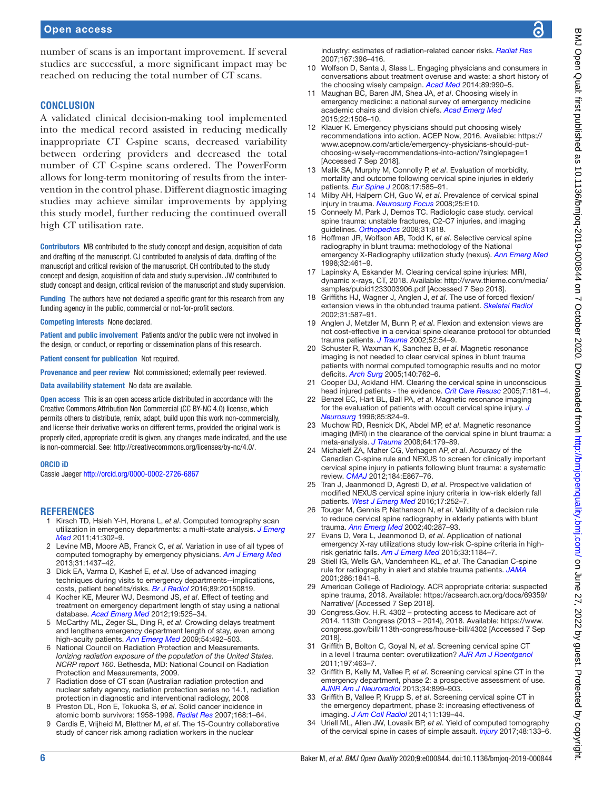number of scans is an important improvement. If several studies are successful, a more significant impact may be reached on reducing the total number of CT scans.

#### **CONCLUSION**

A validated clinical decision-making tool implemented into the medical record assisted in reducing medically inappropriate CT C-spine scans, decreased variability between ordering providers and decreased the total number of CT C-spine scans ordered. The PowerForm allows for long-term monitoring of results from the intervention in the control phase. Different diagnostic imaging studies may achieve similar improvements by applying this study model, further reducing the continued overall high CT utilisation rate.

Contributors MB contributed to the study concept and design, acquisition of data and drafting of the manuscript. CJ contributed to analysis of data, drafting of the manuscript and critical revision of the manuscript. CH contributed to the study concept and design, acquisition of data and study supervision. JW contributed to study concept and design, critical revision of the manuscript and study supervision.

Funding The authors have not declared a specific grant for this research from any funding agency in the public, commercial or not-for-profit sectors.

Competing interests None declared.

Patient and public involvement Patients and/or the public were not involved in the design, or conduct, or reporting or dissemination plans of this research.

Patient consent for publication Not required.

Provenance and peer review Not commissioned; externally peer reviewed.

Data availability statement No data are available.

Open access This is an open access article distributed in accordance with the Creative Commons Attribution Non Commercial (CC BY-NC 4.0) license, which permits others to distribute, remix, adapt, build upon this work non-commercially, and license their derivative works on different terms, provided the original work is properly cited, appropriate credit is given, any changes made indicated, and the use is non-commercial. See: [http://creativecommons.org/licenses/by-nc/4.0/.](http://creativecommons.org/licenses/by-nc/4.0/)

#### ORCID iD

Cassie Jaeger <http://orcid.org/0000-0002-2726-6867>

#### <span id="page-5-0"></span>**REFERENCES**

- Kirsch TD, Hsieh Y-H, Horana L, *et al*. Computed tomography scan utilization in emergency departments: a multi-state analysis. *[J Emerg](http://dx.doi.org/10.1016/j.jemermed.2010.06.030)  [Med](http://dx.doi.org/10.1016/j.jemermed.2010.06.030)* 2011;41:302–9.
- <span id="page-5-1"></span>2 Levine MB, Moore AB, Franck C, *et al*. Variation in use of all types of computed tomography by emergency physicians. *[Am J Emerg Med](http://dx.doi.org/10.1016/j.ajem.2013.07.003)* 2013;31:1437–42.
- <span id="page-5-2"></span>3 Dick EA, Varma D, Kashef E, *et al*. Use of advanced imaging techniques during visits to emergency departments--implications, costs, patient benefits/risks. *[Br J Radiol](http://dx.doi.org/10.1259/bjr.20150819)* 2016;89:20150819.
- <span id="page-5-3"></span>4 Kocher KE, Meurer WJ, Desmond JS, *et al*. Effect of testing and treatment on emergency department length of stay using a national database. *[Acad Emerg Med](http://dx.doi.org/10.1111/j.1553-2712.2012.01353.x)* 2012;19:525–34.
- <span id="page-5-4"></span>5 McCarthy ML, Zeger SL, Ding R, *et al*. Crowding delays treatment and lengthens emergency department length of stay, even among high-acuity patients. [Ann Emerg Med](http://dx.doi.org/10.1016/j.annemergmed.2009.03.006) 2009;54:492-503.
- <span id="page-5-5"></span>6 National Council on Radiation Protection and Measurements. *Ionizing radiation exposure of the population of the United States. NCRP report 160*. Bethesda, MD: National Council on Radiation Protection and Measurements, 2009.
- <span id="page-5-6"></span>7 Radiation dose of CT scan (Australian radiation protection and nuclear safety agency, radiation protection series no 14.1, radiation protection in diagnostic and interventional radiology, 2008
- <span id="page-5-7"></span>8 Preston DL, Ron E, Tokuoka S, *et al*. Solid cancer incidence in atomic bomb survivors: 1958-1998. *[Radiat Res](http://dx.doi.org/10.1667/RR0763.1)* 2007;168:1–64.
- 9 Cardis E, Vrijheid M, Blettner M, *et al*. The 15-Country collaborative study of cancer risk among radiation workers in the nuclear

industry: estimates of radiation-related cancer risks. *[Radiat Res](http://dx.doi.org/10.1667/RR0553.1)* 2007;167:396–416.

- <span id="page-5-8"></span>10 Wolfson D, Santa J, Slass L. Engaging physicians and consumers in conversations about treatment overuse and waste: a short history of the choosing wisely campaign. *[Acad Med](http://dx.doi.org/10.1097/ACM.0000000000000270)* 2014;89:990–5.
- 11 Maughan BC, Baren JM, Shea JA, *et al*. Choosing wisely in emergency medicine: a national survey of emergency medicine academic chairs and division chiefs. *[Acad Emerg Med](http://dx.doi.org/10.1111/acem.12821)* 2015;22:1506–10.
- 12 Klauer K. Emergency physicians should put choosing wisely recommendations into action. ACEP Now, 2016. Available: [https://](https://www.acepnow.com/article/emergency-physicians-should-put-choosing-wisely-recommendations-into-action/?singlepage=1) [www.acepnow.com/article/emergency-physicians-should-put](https://www.acepnow.com/article/emergency-physicians-should-put-choosing-wisely-recommendations-into-action/?singlepage=1)[choosing-wisely-recommendations-into-action/?singlepage=1](https://www.acepnow.com/article/emergency-physicians-should-put-choosing-wisely-recommendations-into-action/?singlepage=1)  [Accessed 7 Sep 2018].
- <span id="page-5-9"></span>13 Malik SA, Murphy M, Connolly P, *et al*. Evaluation of morbidity, mortality and outcome following cervical spine injuries in elderly patients. *[Eur Spine J](http://dx.doi.org/10.1007/s00586-008-0603-3)* 2008;17:585–91.
- <span id="page-5-10"></span>14 Milby AH, Halpern CH, Guo W, *et al*. Prevalence of cervical spinal injury in trauma. *[Neurosurg Focus](http://dx.doi.org/10.3171/FOC.2008.25.11.E10)* 2008;25:E10.
- <span id="page-5-11"></span>15 Conneely M, Park J, Demos TC. Radiologic case study. cervical spine trauma: unstable fractures, C2-C7 injuries, and imaging guidelines. *[Orthopedics](http://www.ncbi.nlm.nih.gov/pubmed/http://www.ncbi.nlm.nih.gov/pubmed/19292395)* 2008;31:818.
- <span id="page-5-16"></span>16 Hoffman JR, Wolfson AB, Todd K, *et al*. Selective cervical spine radiography in blunt trauma: methodology of the National emergency X-Radiography utilization study (nexus). *[Ann Emerg Med](http://dx.doi.org/10.1016/S0196-0644(98)70176-3)* 1998;32:461–9.
- <span id="page-5-12"></span>17 Lapinsky A, Eskander M. Clearing cervical spine injuries: MRI, dynamic x-rays, CT, 2018. Available: [http://www.thieme.com/media/](http://www.thieme.com/media/samples/pubid1233003906.pdf) [samples/pubid1233003906.pdf](http://www.thieme.com/media/samples/pubid1233003906.pdf) [Accessed 7 Sep 2018].
- <span id="page-5-13"></span>18 Griffiths HJ, Wagner J, Anglen J, *et al*. The use of forced flexion/ extension views in the obtunded trauma patient. *[Skeletal Radiol](http://dx.doi.org/10.1007/s00256-002-0545-5)* 2002;31:587–91.
- 19 Anglen J, Metzler M, Bunn P, *et al*. Flexion and extension views are not cost-effective in a cervical spine clearance protocol for obtunded trauma patients. *[J Trauma](http://dx.doi.org/10.1097/00005373-200201000-00011)* 2002;52:54–9.
- <span id="page-5-14"></span>20 Schuster R, Waxman K, Sanchez B, *et al*. Magnetic resonance imaging is not needed to clear cervical spines in blunt trauma patients with normal computed tomographic results and no motor deficits. *[Arch Surg](http://dx.doi.org/10.1001/archsurg.140.8.762)* 2005;140:762–6.
- 21 Cooper DJ, Ackland HM. Clearing the cervical spine in unconscious head injured patients - the evidence. *[Crit Care Resusc](http://www.ncbi.nlm.nih.gov/pubmed/http://www.ncbi.nlm.nih.gov/pubmed/16545042)* 2005;7:181–4.
- <span id="page-5-15"></span>22 Benzel EC, Hart BL, Ball PA, *et al*. Magnetic resonance imaging for the evaluation of patients with occult cervical spine injury. *[J](http://dx.doi.org/10.3171/jns.1996.85.5.0824)  [Neurosurg](http://dx.doi.org/10.3171/jns.1996.85.5.0824)* 1996;85:824–9.
- 23 Muchow RD, Resnick DK, Abdel MP, *et al*. Magnetic resonance imaging (MRI) in the clearance of the cervical spine in blunt trauma: a meta-analysis. *[J Trauma](http://dx.doi.org/10.1097/01.ta.0000238664.74117.ac)* 2008;64:179–89.
- <span id="page-5-17"></span>24 Michaleff ZA, Maher CG, Verhagen AP, *et al*. Accuracy of the Canadian C-spine rule and NEXUS to screen for clinically important cervical spine injury in patients following blunt trauma: a systematic review. *[CMAJ](http://dx.doi.org/10.1503/cmaj.120675)* 2012;184:E867–76.
- 25 Tran J, Jeanmonod D, Agresti D, *et al*. Prospective validation of modified NEXUS cervical spine injury criteria in low-risk elderly fall patients. *[West J Emerg Med](http://dx.doi.org/10.5811/westjem.2016.3.29702)* 2016;17:252–7.
- 26 Touger M, Gennis P, Nathanson N, *et al*. Validity of a decision rule to reduce cervical spine radiography in elderly patients with blunt trauma. *[Ann Emerg Med](http://dx.doi.org/10.1067/mem.2002.125708)* 2002;40:287–93.
- 27 Evans D, Vera L, Jeanmonod D, *et al*. Application of national emergency X-ray utilizations study low-risk C-spine criteria in highrisk geriatric falls. *[Am J Emerg Med](http://dx.doi.org/10.1016/j.ajem.2015.05.031)* 2015;33:1184–7.
- 28 Stiell IG, Wells GA, Vandemheen KL, *et al*. The Canadian C-spine rule for radiography in alert and stable trauma patients. *[JAMA](http://dx.doi.org/10.1001/jama.286.15.1841)* 2001;286:1841–8.
- <span id="page-5-18"></span>29 American College of Radiology. ACR appropriate criteria: suspected spine trauma, 2018. Available: [https://acsearch.acr.org/docs/69359/](https://acsearch.acr.org/docs/69359/Narrative/) [Narrative/](https://acsearch.acr.org/docs/69359/Narrative/) [Accessed 7 Sep 2018].
- <span id="page-5-19"></span>30 Congress.Gov. H.R. 4302 – protecting access to Medicare act of 2014. 113th Congress (2013 – 2014), 2018. Available: [https://www.](https://www.congress.gov/bill/113th-congress/house-bill/4302) [congress.gov/bill/113th-congress/house-bill/4302](https://www.congress.gov/bill/113th-congress/house-bill/4302) [Accessed 7 Sep 2018].
- <span id="page-5-20"></span>31 Griffith B, Bolton C, Goyal N, *et al*. Screening cervical spine CT in a level I trauma center: overutilization? *[AJR Am J Roentgenol](http://dx.doi.org/10.2214/AJR.10.5731)* 2011;197:463–7.
- 32 Griffith B, Kelly M, Vallee P, *et al*. Screening cervical spine CT in the emergency department, phase 2: a prospective assessment of use. *[AJNR Am J Neuroradiol](http://dx.doi.org/10.3174/ajnr.A3306)* 2013;34:899–903.
- 33 Griffith B, Vallee P, Krupp S, *et al*. Screening cervical spine CT in the emergency department, phase 3: increasing effectiveness of imaging. *[J Am Coll Radiol](http://dx.doi.org/10.1016/j.jacr.2013.05.026)* 2014;11:139–44.
- 34 Uriell ML, Allen JW, Lovasik BP, *et al*. Yield of computed tomography of the cervical spine in cases of simple assault. *[Injury](http://dx.doi.org/10.1016/j.injury.2016.10.031)* 2017;48:133–6.